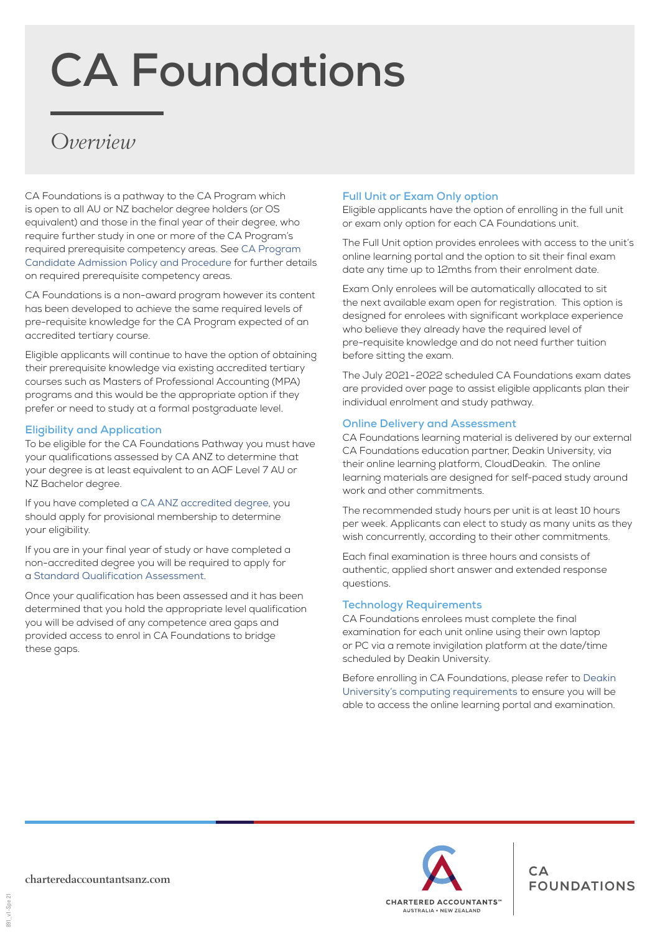# **CA Foundations**

# *Overview*

CA Foundations is a pathway to the CA Program which is open to all AU or NZ bachelor degree holders (or OS equivalent) and those in the final year of their degree, who require further study in one or more of the CA Program's required prerequisite competency areas. See [CA Program](https://www.charteredaccountantsanz.com/become-a-member/ca-program-policies)  [Candidate Admission Policy and Procedure](https://www.charteredaccountantsanz.com/become-a-member/ca-program-policies) for further details on required prerequisite competency areas.

CA Foundations is a non-award program however its content has been developed to achieve the same required levels of pre-requisite knowledge for the CA Program expected of an accredited tertiary course.

Eligible applicants will continue to have the option of obtaining their prerequisite knowledge via existing accredited tertiary courses such as Masters of Professional Accounting (MPA) programs and this would be the appropriate option if they prefer or need to study at a formal postgraduate level.

#### **Eligibility and Application**

To be eligible for the CA Foundations Pathway you must have your qualifications assessed by CA ANZ to determine that your degree is at least equivalent to an AQF Level 7 AU or NZ Bachelor degree.

If you have completed a [CA ANZ accredited degree](https://www.charteredaccountantsanz.com/become-a-member/entry-requirements/chartered-accountant/recognised-qualifications), you should apply for provisional membership to determine your eligibility.

If you are in your final year of study or have completed a non-accredited degree you will be required to apply for a [Standard Qualification Assessment](https://www.charteredaccountantsanz.com/-/media/8361a312f4084a469e30510560404f7f.ashx?la=en).

Once your qualification has been assessed and it has been determined that you hold the appropriate level qualification you will be advised of any competence area gaps and provided access to enrol in CA Foundations to bridge these gaps.

#### **Full Unit or Exam Only option**

Eligible applicants have the option of enrolling in the full unit or exam only option for each CA Foundations unit.

The Full Unit option provides enrolees with access to the unit's online learning portal and the option to sit their final exam date any time up to 12mths from their enrolment date.

Exam Only enrolees will be automatically allocated to sit the next available exam open for registration. This option is designed for enrolees with significant workplace experience who believe they already have the required level of pre-requisite knowledge and do not need further tuition before sitting the exam.

The July 2021 - 2022 scheduled CA Foundations exam dates are provided over page to assist eligible applicants plan their individual enrolment and study pathway.

#### **Online Delivery and Assessment**

CA Foundations learning material is delivered by our external CA Foundations education partner, Deakin University, via their online learning platform, CloudDeakin. The online learning materials are designed for self-paced study around work and other commitments.

The recommended study hours per unit is at least 10 hours per week. Applicants can elect to study as many units as they wish concurrently, according to their other commitments.

Each final examination is three hours and consists of authentic, applied short answer and extended response questions.

#### **Technology Requirements**

CA Foundations enrolees must complete the final examination for each unit online using their own laptop or PC via a remote invigilation platform at the date/time scheduled by Deakin University.

Before enrolling in CA Foundations, please refer to [Deakin](https://www.deakin.edu.au/courses/how-to-apply/computing-requirements)  [University's computing requirements](https://www.deakin.edu.au/courses/how-to-apply/computing-requirements) to ensure you will be able to access the online learning portal and examination.



891 v1-Spe 21 891\_v1-Spe 21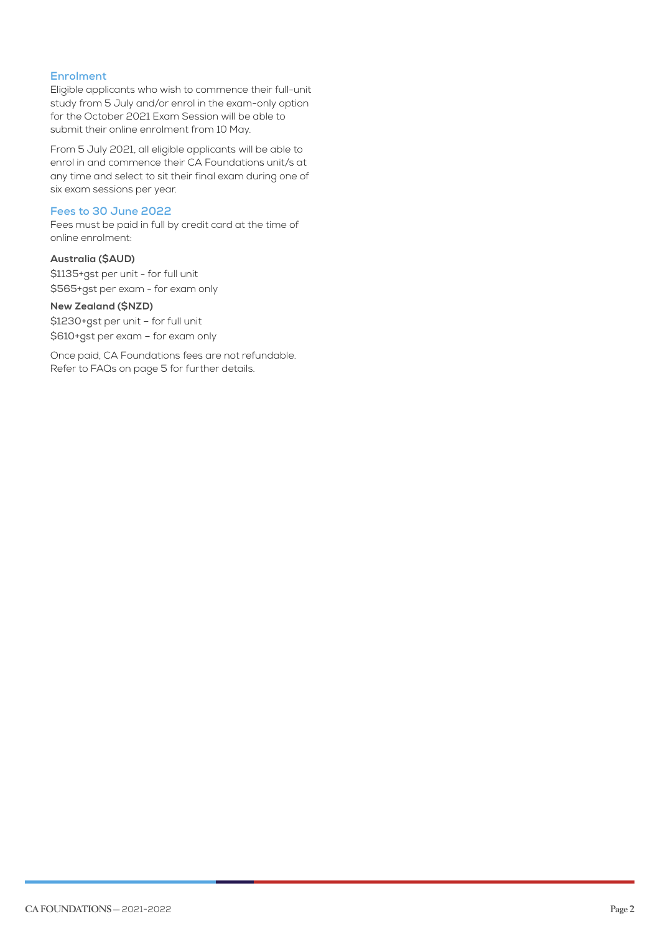#### **Enrolment**

Eligible applicants who wish to commence their full-unit study from 5 July and/or enrol in the exam-only option for the October 2021 Exam Session will be able to submit their online enrolment from 10 May.

From 5 July 2021, all eligible applicants will be able to enrol in and commence their CA Foundations unit/s at any time and select to sit their final exam during one of six exam sessions per year.

#### **Fees to 30 June 2022**

Fees must be paid in full by credit card at the time of online enrolment:

#### **Australia (\$AUD)**

\$1135+gst per unit - for full unit \$565+gst per exam - for exam only

#### **New Zealand (\$NZD)**

\$1230+gst per unit – for full unit \$610+gst per exam – for exam only

Once paid, CA Foundations fees are not refundable. Refer to FAQs on page 5 for further details.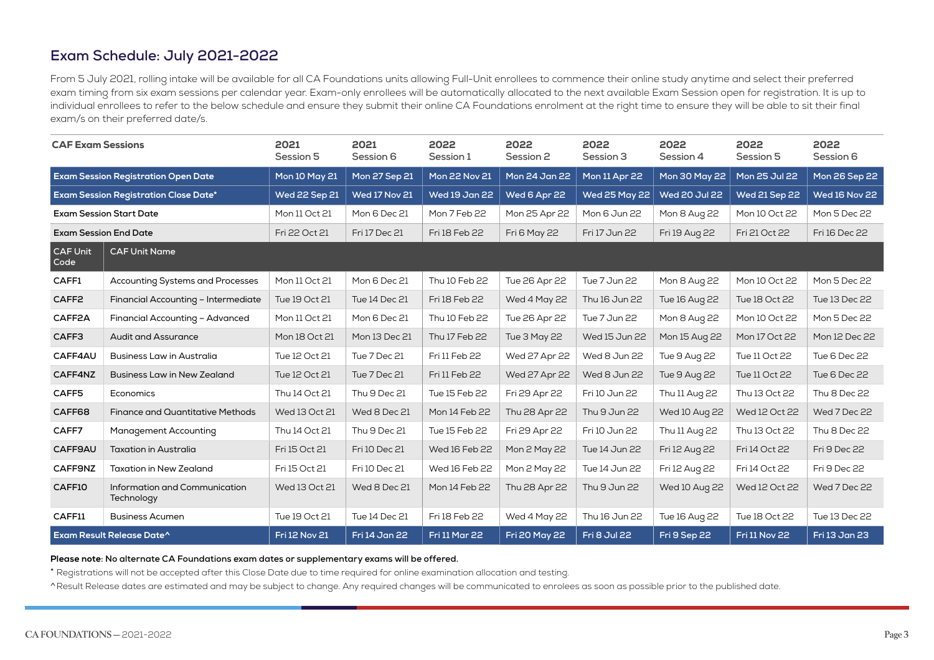### **Exam Schedule: July 2021-2022**

From 5 July 2021, rolling intake will be available for all CA Foundations units allowing Full-Unit enrollees to commence their online study anytime and select their preferred exam timing from six exam sessions per calendar year. Exam-only enrollees will be automatically allocated to the next available Exam Session open for registration. It is up to individual enrollees to refer to the below schedule and ensure they submit their online CA Foundations enrolment at the right time to ensure they will be able to sit their final exam/s on their preferred date/s.

| <b>CAF Exam Sessions</b>                     |                                             | 2021<br>Session 5    | 2021<br>Session 6    | 2022<br>Session 1    | 2022<br>Session 2    | 2022<br>Session 3   | 2022<br>Session 4    | 2022<br>Session 5    | 2022<br>Session 6    |
|----------------------------------------------|---------------------------------------------|----------------------|----------------------|----------------------|----------------------|---------------------|----------------------|----------------------|----------------------|
| <b>Exam Session Registration Open Date</b>   |                                             | <b>Mon 10 May 21</b> | Mon 27 Sep 21        | Mon 22 Nov 21        | Mon 24 Jan 22        | Mon 11 Apr 22       | Mon 30 May 22        | Mon 25 Jul 22        | Mon 26 Sep 22        |
| <b>Exam Session Registration Close Date*</b> |                                             | <b>Wed 22 Sep 21</b> | <b>Wed 17 Nov 21</b> | <b>Wed 19 Jan 22</b> | Wed 6 Apr 22         | Wed 25 May 22       | <b>Wed 20 Jul 22</b> | <b>Wed 21 Sep 22</b> | <b>Wed 16 Nov 22</b> |
| <b>Exam Session Start Date</b>               |                                             | Mon 11 Oct 21        | Mon 6 Dec 21         | Mon 7 Feb 22         | Mon 25 Apr 22        | Mon 6 Jun 22        | Mon 8 Aug 22         | Mon 10 Oct 22        | Mon 5 Dec 22         |
| <b>Exam Session End Date</b>                 |                                             | Fri 22 Oct 21        | Fri 17 Dec 21        | Fri 18 Feb 22        | <b>Fri 6 May 22</b>  | Fri 17 Jun 22       | Fri 19 Aug 22        | Fri 21 Oct 22        | Fri 16 Dec 22        |
| CAF Unit<br>Code                             | <b>CAF Unit Name</b>                        |                      |                      |                      |                      |                     |                      |                      |                      |
| CAFF1                                        | <b>Accounting Systems and Processes</b>     | Mon 11 Oct 21        | Mon 6 Dec 21         | Thu 10 Feb 22        | Tue 26 Apr 22        | Tue 7 Jun 22        | Mon 8 Aug 22         | Mon 10 Oct 22        | Mon 5 Dec 22         |
| CAFF <sub>2</sub>                            | Financial Accounting - Intermediate         | Tue 19 Oct 21        | Tue 14 Dec 21        | Fri 18 Feb 22        | Wed 4 May 22         | Thu 16 Jun 22       | <b>Tue 16 Aug 22</b> | Tue 18 Oct 22        | Tue 13 Dec 22        |
| CAFF2A                                       | Financial Accounting - Advanced             | Mon 11 Oct 21        | Mon 6 Dec 21         | Thu 10 Feb 22        | Tue 26 Apr 22        | Tue 7 Jun 22        | Mon 8 Aug 22         | Mon 10 Oct 22        | Mon 5 Dec 22         |
| CAFF3                                        | <b>Audit and Assurance</b>                  | Mon 18 Oct 21        | Mon 13 Dec 21        | Thu 17 Feb 22        | Tue 3 May 22         | Wed 15 Jun 22       | Mon 15 Aug 22        | Mon 17 Oct 22        | Mon 12 Dec 22        |
| CAFF4AU                                      | <b>Business Law in Australia</b>            | Tue 12 Oct 21        | Tue 7 Dec 21         | Fri 11 Feb 22        | Wed 27 Apr 22        | Wed 8 Jun 22        | Tue 9 Aug 22         | Tue 11 Oct 22        | Tue 6 Dec 22         |
| CAFF4NZ                                      | <b>Business Law in New Zealand</b>          | Tue 12 Oct 21        | Tue 7 Dec 21         | Fri 11 Feb 22        | Wed 27 Apr 22        | Wed 8 Jun 22        | Tue 9 Aug 22         | Tue 11 Oct 22        | Tue 6 Dec 22         |
| CAFF5                                        | Economics                                   | Thu 14 Oct 21        | Thu 9 Dec 21         | Tue 15 Feb 22        | Fri 29 Apr 22        | Fri 10 Jun 22       | Thu 11 Aug 22        | Thu 13 Oct 22        | Thu 8 Dec 22         |
| CAFF68                                       | <b>Finance and Quantitative Methods</b>     | Wed 13 Oct 21        | Wed 8 Dec 21         | Mon 14 Feb 22        | Thu 28 Apr 22        | Thu 9 Jun 22        | Wed 10 Aug 22        | Wed 12 Oct 22        | Wed 7 Dec 22         |
| CAFF7                                        | <b>Management Accounting</b>                | Thu 14 Oct 21        | Thu 9 Dec 21         | Tue 15 Feb 22        | Fri 29 Apr 22        | Fri 10 Jun 22       | Thu 11 Aug 22        | Thu 13 Oct 22        | Thu 8 Dec 22         |
| CAFF9AU                                      | <b>Taxation in Australia</b>                | Fri 15 Oct 21        | Fri 10 Dec 21        | Wed 16 Feb 22        | Mon 2 May 22         | Tue 14 Jun 22       | Fri 12 Aug 22        | Fri 14 Oct 22        | Fri 9 Dec 22         |
| CAFF9NZ                                      | <b>Taxation in New Zealand</b>              | Fri 15 Oct 21        | Fri 10 Dec 21        | Wed 16 Feb 22        | Mon 2 May 22         | Tue 14 Jun 22       | Fri 12 Aug 22        | Fri 14 Oct 22        | Fri 9 Dec 22         |
| CAFF10                                       | Information and Communication<br>Technology | Wed 13 Oct 21        | Wed 8 Dec 21         | Mon 14 Feb 22        | Thu 28 Apr 22        | Thu 9 Jun 22        | Wed 10 Aug 22        | Wed 12 Oct 22        | Wed 7 Dec 22         |
| CAFF11                                       | <b>Business Acumen</b>                      | Tue 19 Oct 21        | Tue 14 Dec 21        | Fri 18 Feb 22        | Wed 4 May 22         | Thu 16 Jun 22       | Tue 16 Aug 22        | Tue 18 Oct 22        | Tue 13 Dec 22        |
| Exam Result Release Date^                    |                                             | <b>Fri 12 Nov 21</b> | Fri 14 Jan 22        | <b>Fri 11 Mar 22</b> | <b>Fri 20 May 22</b> | <b>Fri 8 Jul 22</b> | Fri 9 Sep 22         | <b>Fri 11 Nov 22</b> | Fri 13 Jan 23        |

**Please note: No alternate CA Foundations exam dates or supplementary exams will be offered.**

\* Registrations will not be accepted after this Close Date due to time required for online examination allocation and testing.

^Result Release dates are estimated and may be subject to change. Any required changes will be communicated to enrolees as soon as possible prior to the published date.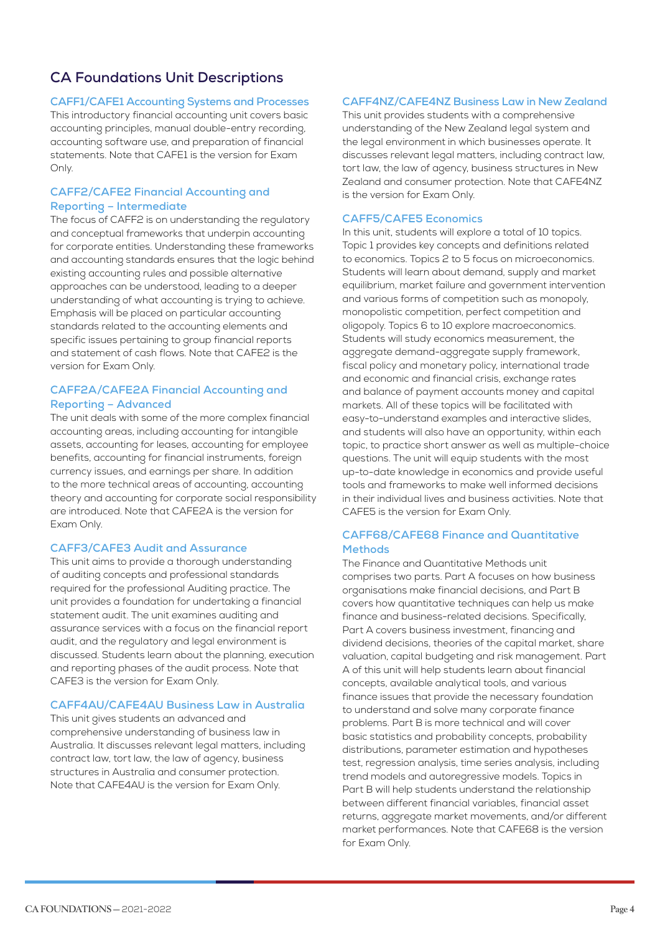# **CA Foundations Unit Descriptions**

#### **CAFF1/CAFE1 Accounting Systems and Processes**

This introductory financial accounting unit covers basic accounting principles, manual double-entry recording, accounting software use, and preparation of financial statements. Note that CAFE1 is the version for Exam Only.

#### **CAFF2/CAFE2 Financial Accounting and Reporting – Intermediate**

The focus of CAFF2 is on understanding the regulatory and conceptual frameworks that underpin accounting for corporate entities. Understanding these frameworks and accounting standards ensures that the logic behind existing accounting rules and possible alternative approaches can be understood, leading to a deeper understanding of what accounting is trying to achieve. Emphasis will be placed on particular accounting standards related to the accounting elements and specific issues pertaining to group financial reports and statement of cash flows. Note that CAFE2 is the version for Exam Only.

#### **CAFF2A/CAFE2A Financial Accounting and Reporting – Advanced**

The unit deals with some of the more complex financial accounting areas, including accounting for intangible assets, accounting for leases, accounting for employee benefits, accounting for financial instruments, foreign currency issues, and earnings per share. In addition to the more technical areas of accounting, accounting theory and accounting for corporate social responsibility are introduced. Note that CAFE2A is the version for Exam Only.

#### **CAFF3/CAFE3 Audit and Assurance**

This unit aims to provide a thorough understanding of auditing concepts and professional standards required for the professional Auditing practice. The unit provides a foundation for undertaking a financial statement audit. The unit examines auditing and assurance services with a focus on the financial report audit, and the regulatory and legal environment is discussed. Students learn about the planning, execution and reporting phases of the audit process. Note that CAFE3 is the version for Exam Only.

#### **CAFF4AU/CAFE4AU Business Law in Australia**

This unit gives students an advanced and comprehensive understanding of business law in Australia. It discusses relevant legal matters, including contract law, tort law, the law of agency, business structures in Australia and consumer protection. Note that CAFE4AU is the version for Exam Only.

#### **CAFF4NZ/CAFE4NZ Business Law in New Zealand**

This unit provides students with a comprehensive understanding of the New Zealand legal system and the legal environment in which businesses operate. It discusses relevant legal matters, including contract law, tort law, the law of agency, business structures in New Zealand and consumer protection. Note that CAFE4NZ is the version for Exam Only.

#### **CAFF5/CAFE5 Economics**

In this unit, students will explore a total of 10 topics. Topic 1 provides key concepts and definitions related to economics. Topics 2 to 5 focus on microeconomics. Students will learn about demand, supply and market equilibrium, market failure and government intervention and various forms of competition such as monopoly, monopolistic competition, perfect competition and oligopoly. Topics 6 to 10 explore macroeconomics. Students will study economics measurement, the aggregate demand-aggregate supply framework, fiscal policy and monetary policy, international trade and economic and financial crisis, exchange rates and balance of payment accounts money and capital markets. All of these topics will be facilitated with easy-to-understand examples and interactive slides, and students will also have an opportunity, within each topic, to practice short answer as well as multiple-choice questions. The unit will equip students with the most up-to-date knowledge in economics and provide useful tools and frameworks to make well informed decisions in their individual lives and business activities. Note that CAFE5 is the version for Exam Only.

#### **CAFF68/CAFE68 Finance and Quantitative Methods**

The Finance and Quantitative Methods unit comprises two parts. Part A focuses on how business organisations make financial decisions, and Part B covers how quantitative techniques can help us make finance and business-related decisions. Specifically, Part A covers business investment, financing and dividend decisions, theories of the capital market, share valuation, capital budgeting and risk management. Part A of this unit will help students learn about financial concepts, available analytical tools, and various finance issues that provide the necessary foundation to understand and solve many corporate finance problems. Part B is more technical and will cover basic statistics and probability concepts, probability distributions, parameter estimation and hypotheses test, regression analysis, time series analysis, including trend models and autoregressive models. Topics in Part B will help students understand the relationship between different financial variables, financial asset returns, aggregate market movements, and/or different market performances. Note that CAFE68 is the version for Exam Only.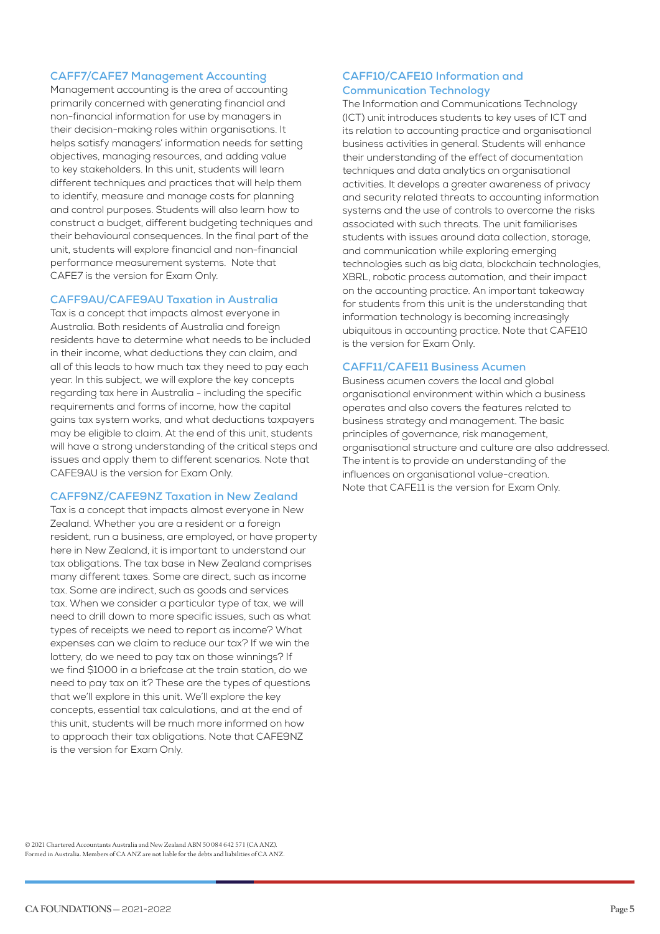#### **CAFF7/CAFE7 Management Accounting**

Management accounting is the area of accounting primarily concerned with generating financial and non-financial information for use by managers in their decision-making roles within organisations. It helps satisfy managers' information needs for setting objectives, managing resources, and adding value to key stakeholders. In this unit, students will learn different techniques and practices that will help them to identify, measure and manage costs for planning and control purposes. Students will also learn how to construct a budget, different budgeting techniques and their behavioural consequences. In the final part of the unit, students will explore financial and non-financial performance measurement systems. Note that CAFE7 is the version for Exam Only.

#### **CAFF9AU/CAFE9AU Taxation in Australia**

Tax is a concept that impacts almost everyone in Australia. Both residents of Australia and foreign residents have to determine what needs to be included in their income, what deductions they can claim, and all of this leads to how much tax they need to pay each year. In this subject, we will explore the key concepts regarding tax here in Australia - including the specific requirements and forms of income, how the capital gains tax system works, and what deductions taxpayers may be eligible to claim. At the end of this unit, students will have a strong understanding of the critical steps and issues and apply them to different scenarios. Note that CAFE9AU is the version for Exam Only.

#### **CAFF9NZ/CAFE9NZ Taxation in New Zealand**

Tax is a concept that impacts almost everyone in New Zealand. Whether you are a resident or a foreign resident, run a business, are employed, or have property here in New Zealand, it is important to understand our tax obligations. The tax base in New Zealand comprises many different taxes. Some are direct, such as income tax. Some are indirect, such as goods and services tax. When we consider a particular type of tax, we will need to drill down to more specific issues, such as what types of receipts we need to report as income? What expenses can we claim to reduce our tax? If we win the lottery, do we need to pay tax on those winnings? If we find \$1000 in a briefcase at the train station, do we need to pay tax on it? These are the types of questions that we'll explore in this unit. We'll explore the key concepts, essential tax calculations, and at the end of this unit, students will be much more informed on how to approach their tax obligations. Note that CAFE9NZ is the version for Exam Only.

#### **CAFF10/CAFE10 Information and Communication Technology**

The Information and Communications Technology (ICT) unit introduces students to key uses of ICT and its relation to accounting practice and organisational business activities in general. Students will enhance their understanding of the effect of documentation techniques and data analytics on organisational activities. It develops a greater awareness of privacy and security related threats to accounting information systems and the use of controls to overcome the risks associated with such threats. The unit familiarises students with issues around data collection, storage, and communication while exploring emerging technologies such as big data, blockchain technologies, XBRL, robotic process automation, and their impact on the accounting practice. An important takeaway for students from this unit is the understanding that information technology is becoming increasingly ubiquitous in accounting practice. Note that CAFE10 is the version for Exam Only.

#### **CAFF11/CAFE11 Business Acumen**

Business acumen covers the local and global organisational environment within which a business operates and also covers the features related to business strategy and management. The basic principles of governance, risk management, organisational structure and culture are also addressed. The intent is to provide an understanding of the influences on organisational value-creation. Note that CAFE11 is the version for Exam Only.

© 2021 Chartered Accountants Australia and New Zealand ABN 50 084 642 571 (CA ANZ). Formed in Australia. Members of CA ANZ are not liable for the debts and liabilities of CA ANZ.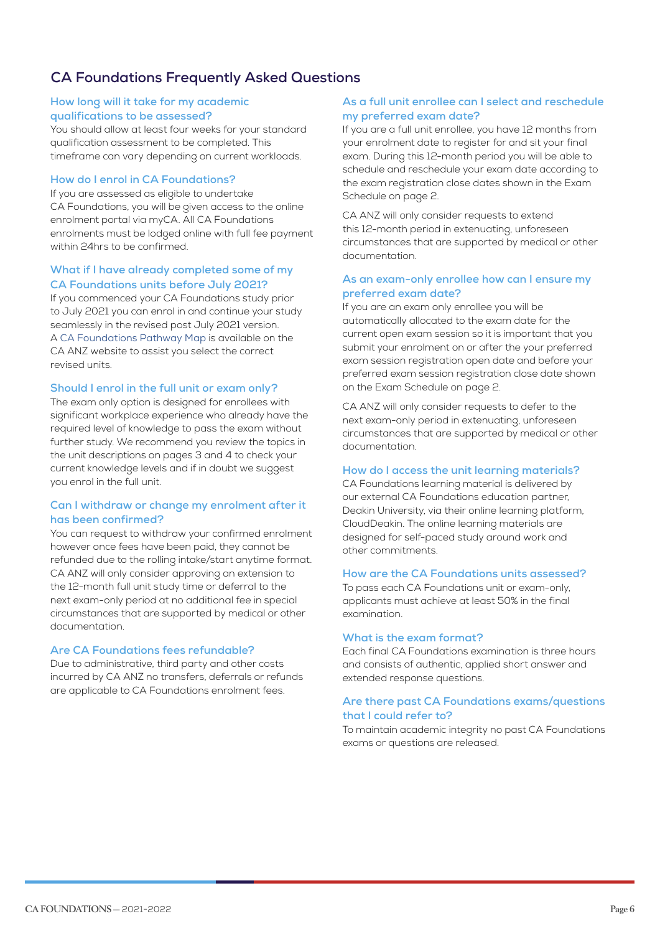# **CA Foundations Frequently Asked Questions**

#### **How long will it take for my academic qualifications to be assessed?**

You should allow at least four weeks for your standard qualification assessment to be completed. This timeframe can vary depending on current workloads.

#### **How do I enrol in CA Foundations?**

If you are assessed as eligible to undertake CA Foundations, you will be given access to the online enrolment portal via myCA. All CA Foundations enrolments must be lodged online with full fee payment within 24hrs to be confirmed.

#### **What if I have already completed some of my CA Foundations units before July 2021?**

If you commenced your CA Foundations study prior to July 2021 you can enrol in and continue your study seamlessly in the revised post July 2021 version. A [CA Foundations Pathway Map](https://www.charteredaccountantsanz.com/become-a-member/entry-requirements/chartered-accountant/ca-foundations) is available on the CA ANZ website to assist you select the correct revised units.

#### **Should I enrol in the full unit or exam only?**

The exam only option is designed for enrollees with significant workplace experience who already have the required level of knowledge to pass the exam without further study. We recommend you review the topics in the unit descriptions on pages 3 and 4 to check your current knowledge levels and if in doubt we suggest you enrol in the full unit.

#### **Can I withdraw or change my enrolment after it has been confirmed?**

You can request to withdraw your confirmed enrolment however once fees have been paid, they cannot be refunded due to the rolling intake/start anytime format. CA ANZ will only consider approving an extension to the 12-month full unit study time or deferral to the next exam-only period at no additional fee in special circumstances that are supported by medical or other documentation.

#### **Are CA Foundations fees refundable?**

Due to administrative, third party and other costs incurred by CA ANZ no transfers, deferrals or refunds are applicable to CA Foundations enrolment fees.

#### **As a full unit enrollee can I select and reschedule my preferred exam date?**

If you are a full unit enrollee, you have 12 months from your enrolment date to register for and sit your final exam. During this 12-month period you will be able to schedule and reschedule your exam date according to the exam registration close dates shown in the Exam Schedule on page 2.

CA ANZ will only consider requests to extend this 12-month period in extenuating, unforeseen circumstances that are supported by medical or other documentation.

#### **As an exam-only enrollee how can I ensure my preferred exam date?**

If you are an exam only enrollee you will be automatically allocated to the exam date for the current open exam session so it is important that you submit your enrolment on or after the your preferred exam session registration open date and before your preferred exam session registration close date shown on the Exam Schedule on page 2.

CA ANZ will only consider requests to defer to the next exam-only period in extenuating, unforeseen circumstances that are supported by medical or other documentation.

#### **How do I access the unit learning materials?**

CA Foundations learning material is delivered by our external CA Foundations education partner, Deakin University, via their online learning platform, CloudDeakin. The online learning materials are designed for self-paced study around work and other commitments.

#### **How are the CA Foundations units assessed?**

To pass each CA Foundations unit or exam-only, applicants must achieve at least 50% in the final examination.

#### **What is the exam format?**

Each final CA Foundations examination is three hours and consists of authentic, applied short answer and extended response questions.

#### **Are there past CA Foundations exams/questions that I could refer to?**

To maintain academic integrity no past CA Foundations exams or questions are released.